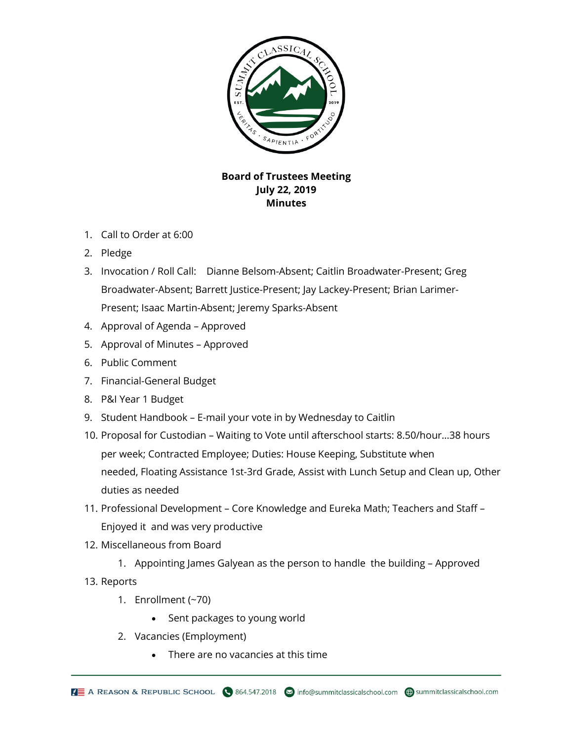

## **Board of Trustees Meeting July 22, 2019 Minutes**

- 1. Call to Order at 6:00
- 2. Pledge
- 3. Invocation / Roll Call: Dianne Belsom-Absent; Caitlin Broadwater-Present; Greg Broadwater-Absent; Barrett Justice-Present; Jay Lackey-Present; Brian Larimer-Present; Isaac Martin-Absent; Jeremy Sparks-Absent
- 4. Approval of Agenda Approved
- 5. Approval of Minutes Approved
- 6. Public Comment
- 7. Financial-General Budget
- 8. P&I Year 1 Budget
- 9. Student Handbook E-mail your vote in by Wednesday to Caitlin
- 10. Proposal for Custodian Waiting to Vote until afterschool starts: 8.50/hour…38 hours per week; Contracted Employee; Duties: House Keeping, Substitute when needed, Floating Assistance 1st-3rd Grade, Assist with Lunch Setup and Clean up, Other duties as needed
- 11. Professional Development Core Knowledge and Eureka Math; Teachers and Staff Enjoyed it and was very productive
- 12. Miscellaneous from Board
	- 1. Appointing James Galyean as the person to handle the building Approved
- 13. Reports
	- 1. Enrollment (~70)
		- Sent packages to young world
	- 2. Vacancies (Employment)
		- There are no vacancies at this time